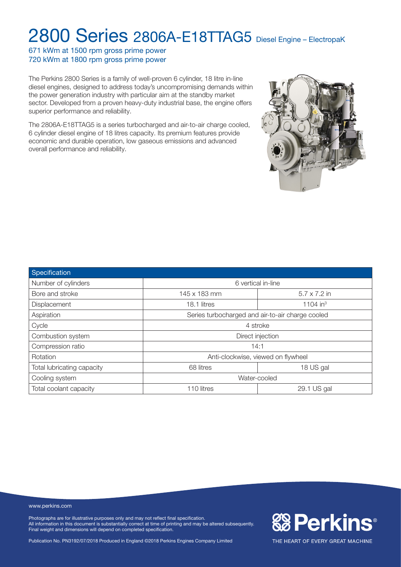671 kWm at 1500 rpm gross prime power 720 kWm at 1800 rpm gross prime power

The Perkins 2800 Series is a family of well-proven 6 cylinder, 18 litre in-line diesel engines, designed to address today's uncompromising demands within the power generation industry with particular aim at the standby market sector. Developed from a proven heavy-duty industrial base, the engine offers superior performance and reliability.

The 2806A-E18TTAG5 is a series turbocharged and air-to-air charge cooled, 6 cylinder diesel engine of 18 litres capacity. Its premium features provide economic and durable operation, low gaseous emissions and advanced overall performance and reliability.



| Specification              |                                                  |                      |  |  |
|----------------------------|--------------------------------------------------|----------------------|--|--|
| Number of cylinders        | 6 vertical in-line                               |                      |  |  |
| Bore and stroke            | 145 x 183 mm                                     | $5.7 \times 7.2$ in  |  |  |
| Displacement               | 18.1 litres                                      | 1104 in <sup>3</sup> |  |  |
| Aspiration                 | Series turbocharged and air-to-air charge cooled |                      |  |  |
| Cycle                      | 4 stroke                                         |                      |  |  |
| Combustion system          | Direct injection                                 |                      |  |  |
| Compression ratio          | 14:1                                             |                      |  |  |
| Rotation                   | Anti-clockwise, viewed on flywheel               |                      |  |  |
| Total lubricating capacity | 68 litres                                        | 18 US gal            |  |  |
| Cooling system             | Water-cooled                                     |                      |  |  |
| Total coolant capacity     | 29.1 US gal<br>110 litres                        |                      |  |  |

www.perkins.com

Photographs are for illustrative purposes only and may not reflect final specification. All information in this document is substantially correct at time of printing and may be altered subsequently. Final weight and dimensions will depend on completed specification.

Publication No. PN3192/07/2018 Produced in England ©2018 Perkins Engines Company Limited

**&B Perkins®**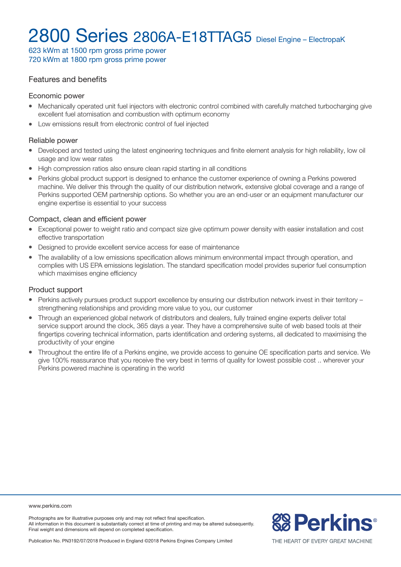623 kWm at 1500 rpm gross prime power 720 kWm at 1800 rpm gross prime power

### Features and benefits

#### Economic power

- Mechanically operated unit fuel injectors with electronic control combined with carefully matched turbocharging give excellent fuel atomisation and combustion with optimum economy
- Low emissions result from electronic control of fuel injected

#### Reliable power

- Developed and tested using the latest engineering techniques and finite element analysis for high reliability, low oil usage and low wear rates
- High compression ratios also ensure clean rapid starting in all conditions
- Perkins global product support is designed to enhance the customer experience of owning a Perkins powered machine. We deliver this through the quality of our distribution network, extensive global coverage and a range of Perkins supported OEM partnership options. So whether you are an end-user or an equipment manufacturer our engine expertise is essential to your success

#### Compact, clean and efficient power

- Exceptional power to weight ratio and compact size give optimum power density with easier installation and cost effective transportation
- Designed to provide excellent service access for ease of maintenance
- <sup>l</sup> The availability of a low emissions specification allows minimum environmental impact through operation, and complies with US EPA emissions legislation. The standard specification model provides superior fuel consumption which maximises engine efficiency

### Product support

- Perkins actively pursues product support excellence by ensuring our distribution network invest in their territory strengthening relationships and providing more value to you, our customer
- Through an experienced global network of distributors and dealers, fully trained engine experts deliver total service support around the clock, 365 days a year. They have a comprehensive suite of web based tools at their fingertips covering technical information, parts identification and ordering systems, all dedicated to maximising the productivity of your engine
- <sup>l</sup> Throughout the entire life of a Perkins engine, we provide access to genuine OE specification parts and service. We give 100% reassurance that you receive the very best in terms of quality for lowest possible cost .. wherever your Perkins powered machine is operating in the world

www.perkins.com

Photographs are for illustrative purposes only and may not reflect final specification. All information in this document is substantially correct at time of printing and may be altered subsequently. Final weight and dimensions will depend on completed specification.

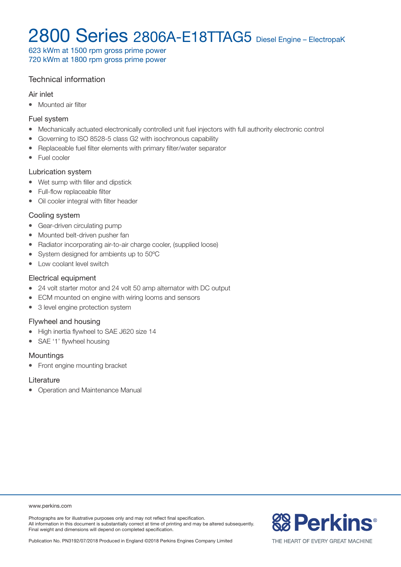623 kWm at 1500 rpm gross prime power 720 kWm at 1800 rpm gross prime power

### Technical information

#### Air inlet

• Mounted air filter

#### Fuel system

- Mechanically actuated electronically controlled unit fuel injectors with full authority electronic control
- Governing to ISO 8528-5 class G2 with isochronous capability
- Replaceable fuel filter elements with primary filter/water separator
- Fuel cooler

### Lubrication system

- Wet sump with filler and dipstick
- Full-flow replaceable filter
- Oil cooler integral with filter header

### Cooling system

- Gear-driven circulating pump
- Mounted belt-driven pusher fan
- Radiator incorporating air-to-air charge cooler, (supplied loose)
- System designed for ambients up to 50°C
- Low coolant level switch

#### Electrical equipment

- 24 volt starter motor and 24 volt 50 amp alternator with DC output
- ECM mounted on engine with wiring looms and sensors
- 3 level engine protection system

### Flywheel and housing

- High inertia flywheel to SAE J620 size 14
- SAE '1' flywheel housing

#### **Mountings**

• Front engine mounting bracket

#### **Literature**

• Operation and Maintenance Manual

#### www.perkins.com

Photographs are for illustrative purposes only and may not reflect final specification. All information in this document is substantially correct at time of printing and may be altered subsequently. Final weight and dimensions will depend on completed specification.